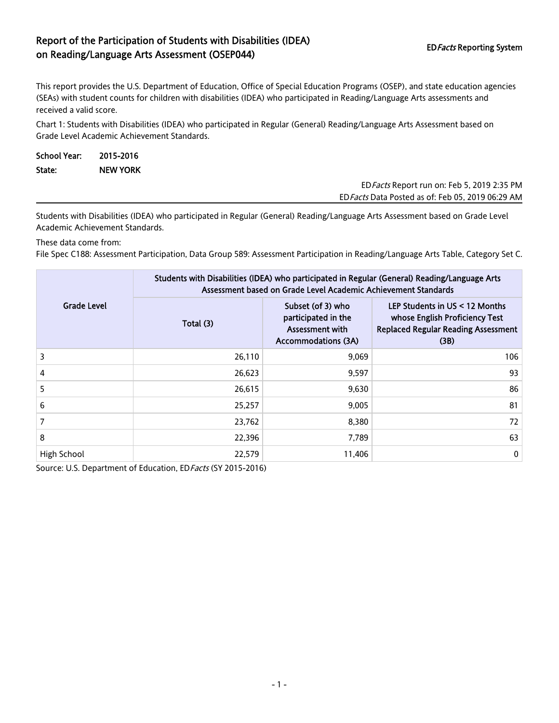## Report of the Participation of Students with Disabilities (IDEA) on Reading/Language Arts Assessment (OSEP044) EDFacts Reporting System

This report provides the U.S. Department of Education, Office of Special Education Programs (OSEP), and state education agencies (SEAs) with student counts for children with disabilities (IDEA) who participated in Reading/Language Arts assessments and received a valid score.

Chart 1: Students with Disabilities (IDEA) who participated in Regular (General) Reading/Language Arts Assessment based on Grade Level Academic Achievement Standards.

| School Year: | 2015-2016       |                                             |
|--------------|-----------------|---------------------------------------------|
| State:       | <b>NEW YORK</b> |                                             |
|              |                 | ED Facts Report run on: Feb 5, 2019 2:35 PM |

EDFacts Data Posted as of: Feb 05, 2019 06:29 AM

Students with Disabilities (IDEA) who participated in Regular (General) Reading/Language Arts Assessment based on Grade Level Academic Achievement Standards.

These data come from:

File Spec C188: Assessment Participation, Data Group 589: Assessment Participation in Reading/Language Arts Table, Category Set C.

|                    | Students with Disabilities (IDEA) who participated in Regular (General) Reading/Language Arts<br>Assessment based on Grade Level Academic Achievement Standards |                                                                                           |                                                                                                                          |  |  |
|--------------------|-----------------------------------------------------------------------------------------------------------------------------------------------------------------|-------------------------------------------------------------------------------------------|--------------------------------------------------------------------------------------------------------------------------|--|--|
| <b>Grade Level</b> | Total (3)                                                                                                                                                       | Subset (of 3) who<br>participated in the<br>Assessment with<br><b>Accommodations (3A)</b> | LEP Students in $US < 12$ Months<br>whose English Proficiency Test<br><b>Replaced Regular Reading Assessment</b><br>(3B) |  |  |
| 3                  | 26,110                                                                                                                                                          | 9,069                                                                                     | 106                                                                                                                      |  |  |
| 4                  | 26,623                                                                                                                                                          | 9,597                                                                                     | 93                                                                                                                       |  |  |
| 5                  | 26,615                                                                                                                                                          | 9,630                                                                                     | 86                                                                                                                       |  |  |
| 6                  | 25,257                                                                                                                                                          | 9,005                                                                                     | 81                                                                                                                       |  |  |
|                    | 23,762                                                                                                                                                          | 8,380                                                                                     | 72                                                                                                                       |  |  |
| 8                  | 22,396                                                                                                                                                          | 7.789                                                                                     | 63                                                                                                                       |  |  |
| High School        | 22,579                                                                                                                                                          | 11,406                                                                                    | $\mathbf 0$                                                                                                              |  |  |

Source: U.S. Department of Education, ED Facts (SY 2015-2016)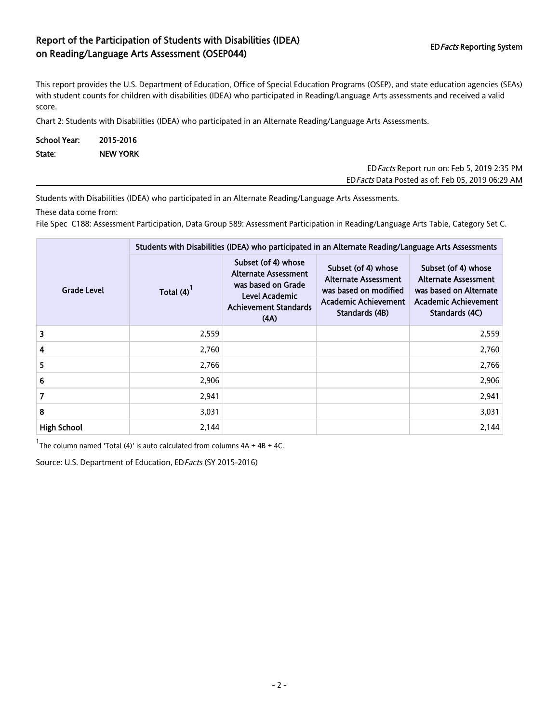## Report of the Participation of Students with Disabilities (IDEA) on Reading/Language Arts Assessment (OSEP044) EDFacts Reporting System EDFacts Reporting System

This report provides the U.S. Department of Education, Office of Special Education Programs (OSEP), and state education agencies (SEAs) with student counts for children with disabilities (IDEA) who participated in Reading/Language Arts assessments and received a valid score.

Chart 2: Students with Disabilities (IDEA) who participated in an Alternate Reading/Language Arts Assessments.

| School Year: | 2015-2016       |
|--------------|-----------------|
| State:       | <b>NEW YORK</b> |

EDFacts Report run on: Feb 5, 2019 2:35 PM EDFacts Data Posted as of: Feb 05, 2019 06:29 AM

Students with Disabilities (IDEA) who participated in an Alternate Reading/Language Arts Assessments.

These data come from:

File Spec C188: Assessment Participation, Data Group 589: Assessment Participation in Reading/Language Arts Table, Category Set C.

|                    | Students with Disabilities (IDEA) who participated in an Alternate Reading/Language Arts Assessments |                                                                                                                                    |                                                                                                                              |                                                                                                                               |  |
|--------------------|------------------------------------------------------------------------------------------------------|------------------------------------------------------------------------------------------------------------------------------------|------------------------------------------------------------------------------------------------------------------------------|-------------------------------------------------------------------------------------------------------------------------------|--|
| <b>Grade Level</b> | Total (4)                                                                                            | Subset (of 4) whose<br><b>Alternate Assessment</b><br>was based on Grade<br>Level Academic<br><b>Achievement Standards</b><br>(AA) | Subset (of 4) whose<br><b>Alternate Assessment</b><br>was based on modified<br><b>Academic Achievement</b><br>Standards (4B) | Subset (of 4) whose<br><b>Alternate Assessment</b><br>was based on Alternate<br><b>Academic Achievement</b><br>Standards (4C) |  |
| 3                  | 2,559                                                                                                |                                                                                                                                    |                                                                                                                              | 2,559                                                                                                                         |  |
| 4                  | 2,760                                                                                                |                                                                                                                                    |                                                                                                                              | 2,760                                                                                                                         |  |
| 5                  | 2,766                                                                                                |                                                                                                                                    |                                                                                                                              | 2,766                                                                                                                         |  |
| 6                  | 2,906                                                                                                |                                                                                                                                    |                                                                                                                              | 2,906                                                                                                                         |  |
| 7                  | 2,941                                                                                                |                                                                                                                                    |                                                                                                                              | 2,941                                                                                                                         |  |
| 8                  | 3,031                                                                                                |                                                                                                                                    |                                                                                                                              | 3,031                                                                                                                         |  |
| <b>High School</b> | 2,144                                                                                                |                                                                                                                                    |                                                                                                                              | 2,144                                                                                                                         |  |

 $1$ The column named 'Total (4)' is auto calculated from columns  $4A + 4B + 4C$ .

Source: U.S. Department of Education, ED Facts (SY 2015-2016)